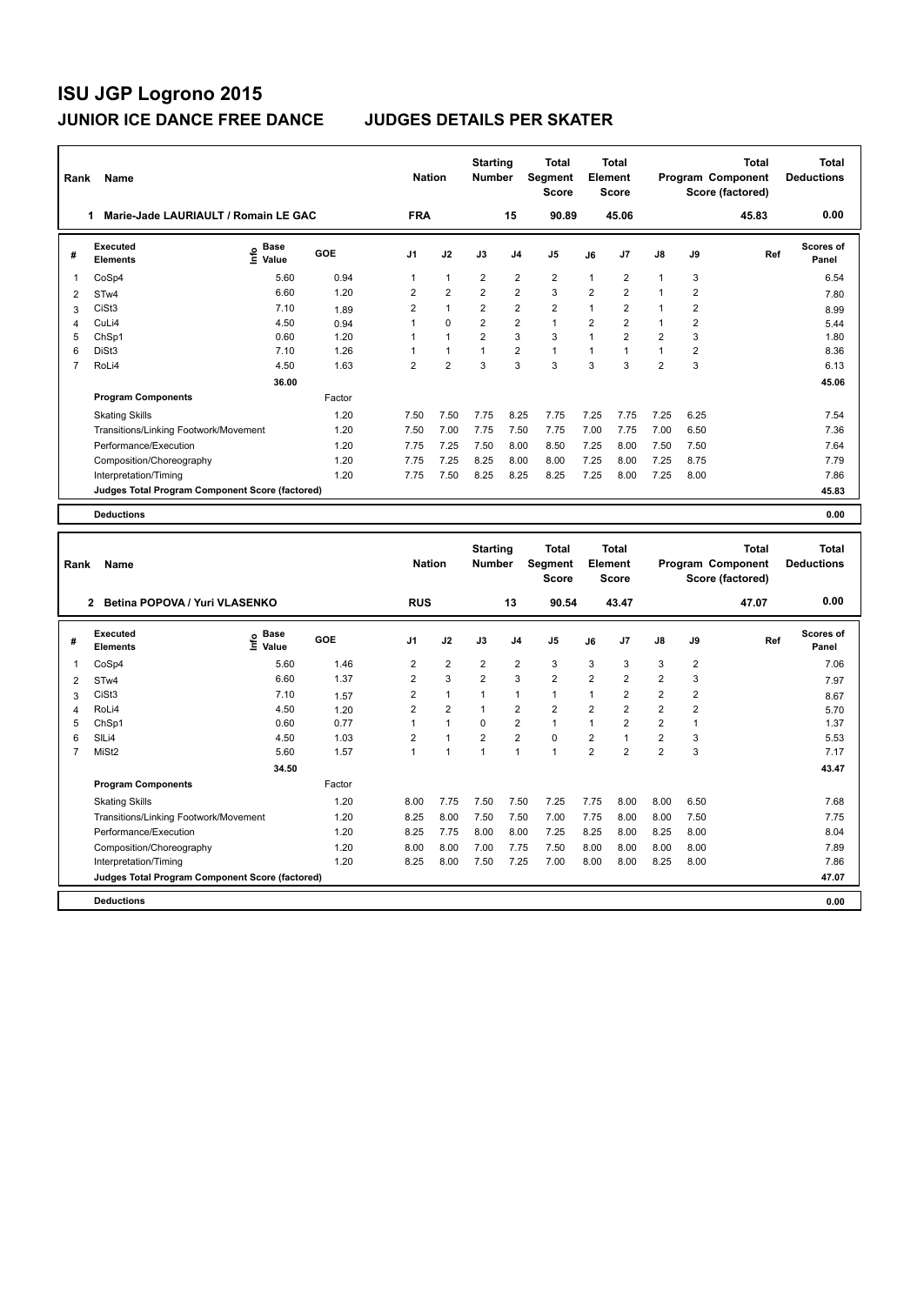| Rank | Name                                            |                            |        | <b>Nation</b>  |                | <b>Starting</b><br><b>Number</b> |                | <b>Total</b><br>Segment<br><b>Score</b> |                | <b>Total</b><br>Element<br><b>Score</b> |                |                | <b>Total</b><br>Program Component<br>Score (factored) | Total<br><b>Deductions</b> |
|------|-------------------------------------------------|----------------------------|--------|----------------|----------------|----------------------------------|----------------|-----------------------------------------|----------------|-----------------------------------------|----------------|----------------|-------------------------------------------------------|----------------------------|
|      | Marie-Jade LAURIAULT / Romain LE GAC            |                            |        | <b>FRA</b>     |                |                                  | 15             | 90.89                                   |                | 45.06                                   |                |                | 45.83                                                 | 0.00                       |
| #    | Executed<br><b>Elements</b>                     | <b>Base</b><br>۴٥<br>Value | GOE    | J <sub>1</sub> | J2             | J3                               | J <sub>4</sub> | J <sub>5</sub>                          | J6             | J7                                      | $\mathsf{J}8$  | J9             | Ref                                                   | Scores of<br>Panel         |
| 1    | CoSp4                                           | 5.60                       | 0.94   | 1              | $\mathbf{1}$   | $\overline{2}$                   | $\overline{2}$ | $\overline{2}$                          | $\mathbf{1}$   | 2                                       | 1              | 3              |                                                       | 6.54                       |
| 2    | STw4                                            | 6.60                       | 1.20   | $\overline{2}$ | $\overline{2}$ | $\overline{2}$                   | $\overline{2}$ | 3                                       | $\overline{2}$ | $\overline{2}$                          | 1              | $\overline{2}$ |                                                       | 7.80                       |
| 3    | CiSt <sub>3</sub>                               | 7.10                       | 1.89   | $\overline{2}$ | $\mathbf{1}$   | $\overline{2}$                   | $\overline{2}$ | $\overline{2}$                          | 1              | $\overline{2}$                          | 1              | 2              |                                                       | 8.99                       |
| 4    | CuLi4                                           | 4.50                       | 0.94   | 1              | 0              | $\overline{2}$                   | $\overline{2}$ | $\mathbf{1}$                            | $\overline{2}$ | $\overline{2}$                          | 1              | 2              |                                                       | 5.44                       |
| 5    | ChSp1                                           | 0.60                       | 1.20   | 1              | $\mathbf{1}$   | $\overline{2}$                   | 3              | 3                                       | $\mathbf{1}$   | $\overline{2}$                          | $\overline{2}$ | 3              |                                                       | 1.80                       |
| 6    | DiSt <sub>3</sub>                               | 7.10                       | 1.26   | 1              | $\mathbf{1}$   | 1                                | $\overline{2}$ | $\mathbf{1}$                            | 1              | $\mathbf{1}$                            | $\mathbf{1}$   | $\overline{2}$ |                                                       | 8.36                       |
| 7    | RoLi4                                           | 4.50                       | 1.63   | $\overline{2}$ | $\overline{2}$ | 3                                | 3              | 3                                       | 3              | 3                                       | $\overline{2}$ | 3              |                                                       | 6.13                       |
|      |                                                 | 36.00                      |        |                |                |                                  |                |                                         |                |                                         |                |                |                                                       | 45.06                      |
|      | <b>Program Components</b>                       |                            | Factor |                |                |                                  |                |                                         |                |                                         |                |                |                                                       |                            |
|      | <b>Skating Skills</b>                           |                            | 1.20   | 7.50           | 7.50           | 7.75                             | 8.25           | 7.75                                    | 7.25           | 7.75                                    | 7.25           | 6.25           |                                                       | 7.54                       |
|      | Transitions/Linking Footwork/Movement           |                            | 1.20   | 7.50           | 7.00           | 7.75                             | 7.50           | 7.75                                    | 7.00           | 7.75                                    | 7.00           | 6.50           |                                                       | 7.36                       |
|      | Performance/Execution                           |                            | 1.20   | 7.75           | 7.25           | 7.50                             | 8.00           | 8.50                                    | 7.25           | 8.00                                    | 7.50           | 7.50           |                                                       | 7.64                       |
|      | Composition/Choreography                        |                            | 1.20   | 7.75           | 7.25           | 8.25                             | 8.00           | 8.00                                    | 7.25           | 8.00                                    | 7.25           | 8.75           |                                                       | 7.79                       |
|      | Interpretation/Timing                           |                            | 1.20   | 7.75           | 7.50           | 8.25                             | 8.25           | 8.25                                    | 7.25           | 8.00                                    | 7.25           | 8.00           |                                                       | 7.86                       |
|      | Judges Total Program Component Score (factored) |                            |        |                |                |                                  |                |                                         |                |                                         |                |                |                                                       | 45.83                      |
|      | <b>Deductions</b>                               |                            |        |                |                |                                  |                |                                         |                |                                         |                |                |                                                       | 0.00                       |
|      |                                                 |                            |        |                |                |                                  |                |                                         |                |                                         |                |                |                                                       |                            |
| Rank | Name                                            |                            |        | <b>Nation</b>  |                | <b>Starting</b><br><b>Number</b> |                | <b>Total</b><br>Segment                 |                | <b>Total</b><br>Element                 |                |                | <b>Total</b><br>Program Component                     | Total<br><b>Deductions</b> |

| Rank | Name                                            |                                  |            | <b>Nation</b>  |                | <b>Number</b>  |                | Segment<br><b>Score</b> |                | Element<br><b>Score</b> |                         |                | Program Component<br>Score (factored) | <b>Deductions</b>         |
|------|-------------------------------------------------|----------------------------------|------------|----------------|----------------|----------------|----------------|-------------------------|----------------|-------------------------|-------------------------|----------------|---------------------------------------|---------------------------|
|      | Betina POPOVA / Yuri VLASENKO<br>$\mathbf{2}$   |                                  |            | <b>RUS</b>     |                |                | 13             | 90.54                   |                | 43.47                   |                         |                | 47.07                                 | 0.00                      |
| #    | Executed<br><b>Elements</b>                     | <b>Base</b><br>o Base<br>E Value | <b>GOE</b> | J <sub>1</sub> | J2             | J3             | J <sub>4</sub> | J5                      | J6             | J7                      | $\mathsf{J}8$           | J9             | Ref                                   | <b>Scores of</b><br>Panel |
|      | CoSp4                                           | 5.60                             | 1.46       | $\overline{2}$ | $\overline{2}$ | 2              | $\overline{2}$ | 3                       | 3              | 3                       | 3                       | $\overline{2}$ |                                       | 7.06                      |
| 2    | STw4                                            | 6.60                             | 1.37       | 2              | 3              | $\overline{2}$ | 3              | $\overline{2}$          | $\overline{2}$ | 2                       | $\overline{2}$          | 3              |                                       | 7.97                      |
| 3    | CiSt3                                           | 7.10                             | 1.57       | $\overline{2}$ | $\mathbf{1}$   |                | $\overline{1}$ | 1                       | 1              | $\overline{2}$          | $\overline{2}$          | $\overline{2}$ |                                       | 8.67                      |
| 4    | RoLi4                                           | 4.50                             | 1.20       | $\overline{2}$ | $\overline{2}$ |                | $\overline{2}$ | $\overline{2}$          | $\overline{2}$ | $\overline{2}$          | $\overline{2}$          | $\overline{2}$ |                                       | 5.70                      |
| 5    | ChSp1                                           | 0.60                             | 0.77       |                | $\mathbf{1}$   | $\Omega$       | $\overline{2}$ | $\mathbf{1}$            | 1              | $\overline{2}$          | $\overline{2}$          |                |                                       | 1.37                      |
| 6    | SIL <sub>i4</sub>                               | 4.50                             | 1.03       | 2              | $\mathbf{1}$   | 2              | 2              | 0                       | 2              | 1                       | 2                       | 3              |                                       | 5.53                      |
|      | MiSt <sub>2</sub>                               | 5.60                             | 1.57       | $\overline{1}$ | $\overline{1}$ | $\overline{1}$ | $\overline{1}$ | 1                       | $\overline{2}$ | $\overline{2}$          | $\overline{\mathbf{c}}$ | 3              |                                       | 7.17                      |
|      |                                                 | 34.50                            |            |                |                |                |                |                         |                |                         |                         |                |                                       | 43.47                     |
|      | <b>Program Components</b>                       |                                  | Factor     |                |                |                |                |                         |                |                         |                         |                |                                       |                           |
|      | <b>Skating Skills</b>                           |                                  | 1.20       | 8.00           | 7.75           | 7.50           | 7.50           | 7.25                    | 7.75           | 8.00                    | 8.00                    | 6.50           |                                       | 7.68                      |
|      | Transitions/Linking Footwork/Movement           |                                  | 1.20       | 8.25           | 8.00           | 7.50           | 7.50           | 7.00                    | 7.75           | 8.00                    | 8.00                    | 7.50           |                                       | 7.75                      |
|      | Performance/Execution                           |                                  | 1.20       | 8.25           | 7.75           | 8.00           | 8.00           | 7.25                    | 8.25           | 8.00                    | 8.25                    | 8.00           |                                       | 8.04                      |
|      | Composition/Choreography                        |                                  | 1.20       | 8.00           | 8.00           | 7.00           | 7.75           | 7.50                    | 8.00           | 8.00                    | 8.00                    | 8.00           |                                       | 7.89                      |
|      | Interpretation/Timing                           |                                  | 1.20       | 8.25           | 8.00           | 7.50           | 7.25           | 7.00                    | 8.00           | 8.00                    | 8.25                    | 8.00           |                                       | 7.86                      |
|      | Judges Total Program Component Score (factored) |                                  |            |                |                |                |                |                         |                |                         |                         |                |                                       | 47.07                     |
|      | <b>Deductions</b>                               |                                  |            |                |                |                |                |                         |                |                         |                         |                |                                       | 0.00                      |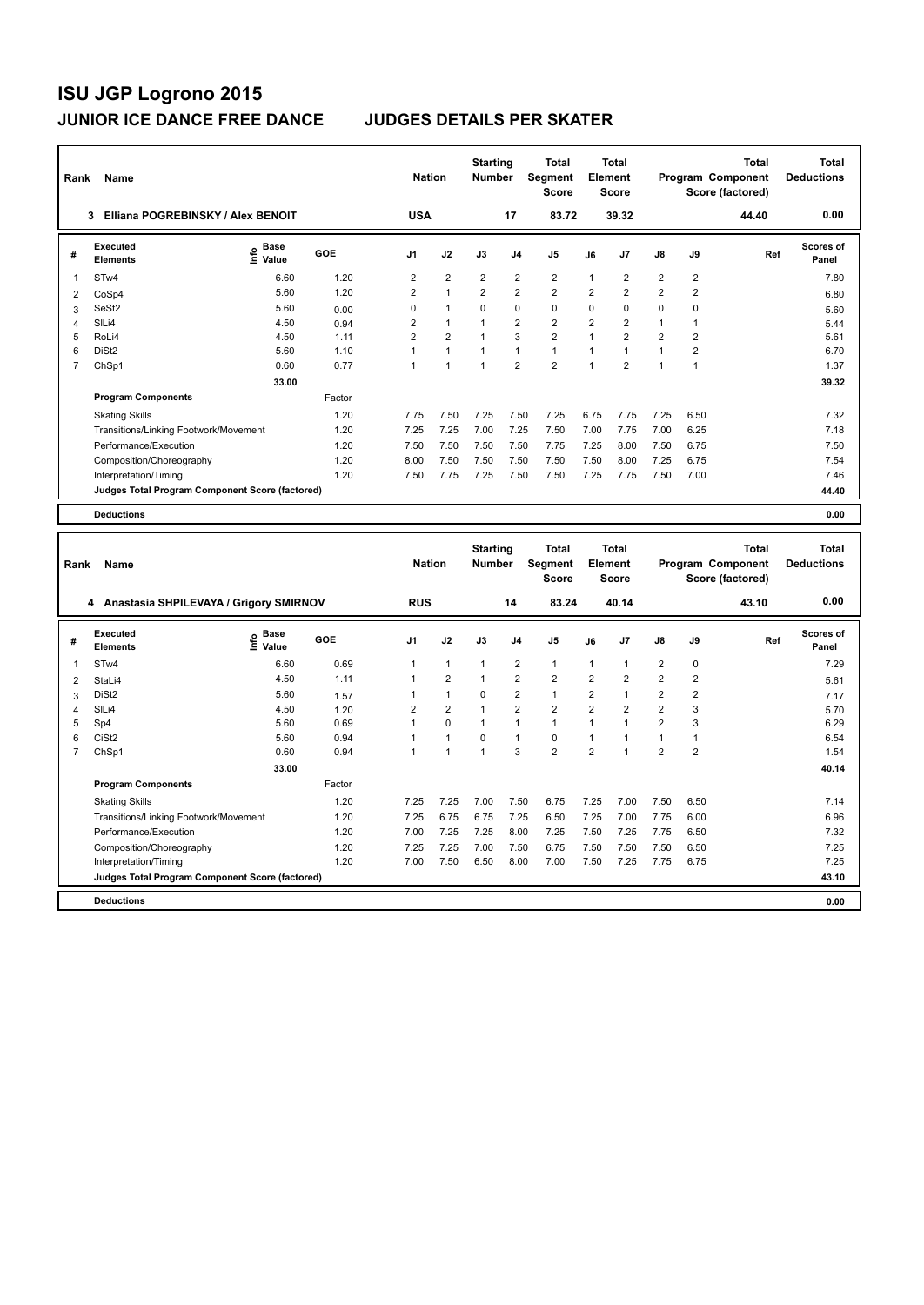| Rank | Name                                            |                                  |        | <b>Nation</b>  |                | <b>Starting</b><br><b>Number</b> |                         | <b>Total</b><br><b>Segment</b><br><b>Score</b> |                | <b>Total</b><br>Element<br><b>Score</b> |                         |                         | <b>Total</b><br>Program Component<br>Score (factored)        | <b>Total</b><br><b>Deductions</b> |
|------|-------------------------------------------------|----------------------------------|--------|----------------|----------------|----------------------------------|-------------------------|------------------------------------------------|----------------|-----------------------------------------|-------------------------|-------------------------|--------------------------------------------------------------|-----------------------------------|
|      | Elliana POGREBINSKY / Alex BENOIT<br>3          |                                  |        | <b>USA</b>     |                |                                  | 17                      | 83.72                                          |                | 39.32                                   |                         |                         | 44.40                                                        | 0.00                              |
| #    | <b>Executed</b><br><b>Elements</b>              | <b>Base</b><br>e Base<br>⊆ Value | GOE    | J <sub>1</sub> | J2             | J3                               | J <sub>4</sub>          | J <sub>5</sub>                                 | J6             | J7                                      | J8                      | J9                      | Ref                                                          | <b>Scores of</b><br>Panel         |
| 1    | STw4                                            | 6.60                             | 1.20   | 2              | $\overline{2}$ | $\overline{2}$                   | $\overline{2}$          | $\overline{2}$                                 | 1              | $\overline{\mathbf{c}}$                 | $\overline{\mathbf{c}}$ | $\overline{\mathbf{c}}$ |                                                              | 7.80                              |
| 2    | CoSp4                                           | 5.60                             | 1.20   | 2              | $\overline{1}$ | $\overline{2}$                   | $\overline{2}$          | $\overline{2}$                                 | $\overline{2}$ | $\overline{\mathbf{c}}$                 | $\overline{2}$          | $\overline{2}$          |                                                              | 6.80                              |
| 3    | SeSt2                                           | 5.60                             | 0.00   | $\Omega$       | $\mathbf{1}$   | $\Omega$                         | $\mathbf 0$             | $\Omega$                                       | $\Omega$       | 0                                       | $\Omega$                | 0                       |                                                              | 5.60                              |
| Δ    | SILi4                                           | 4.50                             | 0.94   | 2              | $\mathbf{1}$   | 1                                | $\overline{\mathbf{c}}$ | $\overline{2}$                                 | $\overline{2}$ | $\overline{2}$                          | 1                       | 1                       |                                                              | 5.44                              |
| 5    | RoLi4                                           | 4.50                             | 1.11   | $\overline{2}$ | $\overline{2}$ | $\overline{1}$                   | 3                       | $\overline{2}$                                 | $\mathbf 1$    | $\overline{2}$                          | $\overline{2}$          | $\overline{2}$          |                                                              | 5.61                              |
| 6    | DiSt <sub>2</sub>                               | 5.60                             | 1.10   | 1              | $\mathbf{1}$   | $\overline{1}$                   | $\mathbf{1}$            | $\mathbf{1}$                                   | 1              | $\mathbf{1}$                            | $\mathbf{1}$            | $\overline{2}$          |                                                              | 6.70                              |
| 7    | ChSp1                                           | 0.60                             | 0.77   | 1              | $\overline{1}$ | $\overline{1}$                   | $\overline{2}$          | $\overline{2}$                                 | $\mathbf{1}$   | $\overline{2}$                          | $\mathbf{1}$            | 1                       |                                                              | 1.37                              |
|      |                                                 | 33.00                            |        |                |                |                                  |                         |                                                |                |                                         |                         |                         |                                                              | 39.32                             |
|      | <b>Program Components</b>                       |                                  | Factor |                |                |                                  |                         |                                                |                |                                         |                         |                         |                                                              |                                   |
|      | <b>Skating Skills</b>                           |                                  | 1.20   | 7.75           | 7.50           | 7.25                             | 7.50                    | 7.25                                           | 6.75           | 7.75                                    | 7.25                    | 6.50                    |                                                              | 7.32                              |
|      | Transitions/Linking Footwork/Movement           |                                  | 1.20   | 7.25           | 7.25           | 7.00                             | 7.25                    | 7.50                                           | 7.00           | 7.75                                    | 7.00                    | 6.25                    |                                                              | 7.18                              |
|      | Performance/Execution                           |                                  | 1.20   | 7.50           | 7.50           | 7.50                             | 7.50                    | 7.75                                           | 7.25           | 8.00                                    | 7.50                    | 6.75                    |                                                              | 7.50                              |
|      | Composition/Choreography                        |                                  | 1.20   | 8.00           | 7.50           | 7.50                             | 7.50                    | 7.50                                           | 7.50           | 8.00                                    | 7.25                    | 6.75                    |                                                              | 7.54                              |
|      | Interpretation/Timing                           |                                  | 1.20   | 7.50           | 7.75           | 7.25                             | 7.50                    | 7.50                                           | 7.25           | 7.75                                    | 7.50                    | 7.00                    |                                                              | 7.46                              |
|      | Judges Total Program Component Score (factored) |                                  |        |                |                |                                  |                         |                                                |                |                                         |                         |                         |                                                              | 44.40                             |
|      | <b>Deductions</b>                               |                                  |        |                |                |                                  |                         |                                                |                |                                         |                         |                         |                                                              | 0.00                              |
|      |                                                 |                                  |        |                |                |                                  |                         |                                                |                |                                         |                         |                         |                                                              |                                   |
| Rank | Name                                            |                                  |        | <b>Nation</b>  |                | <b>Starting</b><br><b>Number</b> |                         | <b>Total</b><br>Segment<br><b>Score</b>        |                | <b>Total</b><br>Element<br><b>Score</b> |                         |                         | <b>Total</b><br><b>Program Component</b><br>Score (factored) | <b>Total</b><br><b>Deductions</b> |
|      | A Apostosio CUDII EVAVA / Crigory CMIDNOV       |                                  |        | <b>DUC</b>     |                |                                  | 4 A                     | 02.21                                          |                | <b>AD 4A</b>                            |                         |                         | 42.40                                                        | n nn                              |

|   | Anastasia SHPILEVAYA / Grigory SMIRNOV<br>4     |                                  |        | <b>RUS</b>     |                |          | 14             | 83.24          |                | 40.14          |                |      | 43.10 | 0.00                      |
|---|-------------------------------------------------|----------------------------------|--------|----------------|----------------|----------|----------------|----------------|----------------|----------------|----------------|------|-------|---------------------------|
| # | Executed<br><b>Elements</b>                     | <b>Base</b><br>e Base<br>⊆ Value | GOE    | J <sub>1</sub> | J2             | J3       | J <sub>4</sub> | J5             | J6             | J <sub>7</sub> | $\mathsf{J}8$  | J9   | Ref   | <b>Scores of</b><br>Panel |
|   | STw4                                            | 6.60                             | 0.69   |                |                |          | $\overline{2}$ | $\mathbf{1}$   | 1              |                | $\overline{2}$ | 0    |       | 7.29                      |
| 2 | StaLi4                                          | 4.50                             | 1.11   |                | $\overline{2}$ |          | $\overline{2}$ | $\overline{2}$ | 2              | $\overline{2}$ | $\overline{2}$ | 2    |       | 5.61                      |
| 3 | DiSt <sub>2</sub>                               | 5.60                             | 1.57   |                |                | $\Omega$ | $\overline{2}$ | $\mathbf{1}$   | $\overline{2}$ |                | $\overline{2}$ | 2    |       | 7.17                      |
| 4 | SILi4                                           | 4.50                             | 1.20   | 2              | $\overline{2}$ |          | $\overline{2}$ | $\overline{2}$ | $\overline{2}$ | 2              | $\overline{2}$ | 3    |       | 5.70                      |
| 5 | Sp4                                             | 5.60                             | 0.69   |                | 0              |          |                | $\mathbf{1}$   |                |                | $\overline{2}$ | 3    |       | 6.29                      |
| 6 | CiSt <sub>2</sub>                               | 5.60                             | 0.94   |                |                | 0        |                | 0              |                |                |                |      |       | 6.54                      |
|   | ChSp1                                           | 0.60                             | 0.94   |                |                |          | 3              | $\overline{2}$ | $\overline{2}$ |                | $\overline{2}$ | 2    |       | 1.54                      |
|   |                                                 | 33.00                            |        |                |                |          |                |                |                |                |                |      |       | 40.14                     |
|   | <b>Program Components</b>                       |                                  | Factor |                |                |          |                |                |                |                |                |      |       |                           |
|   | <b>Skating Skills</b>                           |                                  | 1.20   | 7.25           | 7.25           | 7.00     | 7.50           | 6.75           | 7.25           | 7.00           | 7.50           | 6.50 |       | 7.14                      |
|   | Transitions/Linking Footwork/Movement           |                                  | 1.20   | 7.25           | 6.75           | 6.75     | 7.25           | 6.50           | 7.25           | 7.00           | 7.75           | 6.00 |       | 6.96                      |
|   | Performance/Execution                           |                                  | 1.20   | 7.00           | 7.25           | 7.25     | 8.00           | 7.25           | 7.50           | 7.25           | 7.75           | 6.50 |       | 7.32                      |
|   | Composition/Choreography                        |                                  | 1.20   | 7.25           | 7.25           | 7.00     | 7.50           | 6.75           | 7.50           | 7.50           | 7.50           | 6.50 |       | 7.25                      |
|   | Interpretation/Timing                           |                                  | 1.20   | 7.00           | 7.50           | 6.50     | 8.00           | 7.00           | 7.50           | 7.25           | 7.75           | 6.75 |       | 7.25                      |
|   | Judges Total Program Component Score (factored) |                                  |        |                |                |          |                |                |                |                |                |      |       | 43.10                     |
|   | <b>Deductions</b>                               |                                  |        |                |                |          |                |                |                |                |                |      |       | 0.00                      |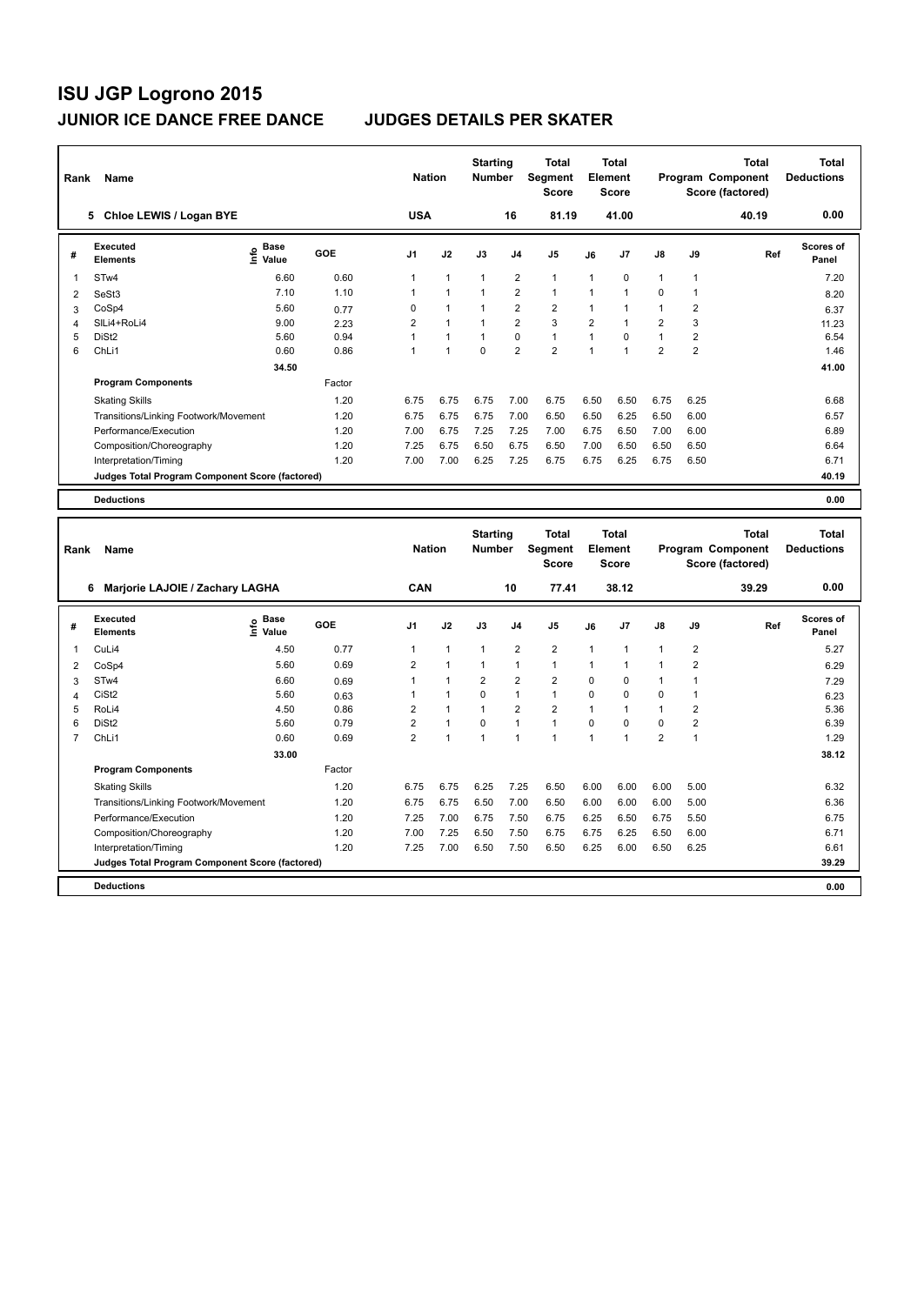| Rank | Name                                            |                              |        | <b>Nation</b>        |              | <b>Starting</b><br><b>Number</b> |                | <b>Total</b><br>Segment<br><b>Score</b> |              | <b>Total</b><br>Element<br><b>Score</b> |                |                | <b>Total</b><br>Program Component<br>Score (factored) | Total<br><b>Deductions</b>        |
|------|-------------------------------------------------|------------------------------|--------|----------------------|--------------|----------------------------------|----------------|-----------------------------------------|--------------|-----------------------------------------|----------------|----------------|-------------------------------------------------------|-----------------------------------|
|      | Chloe LEWIS / Logan BYE<br>5.                   |                              |        | <b>USA</b>           |              |                                  | 16             | 81.19                                   |              | 41.00                                   |                |                | 40.19                                                 | 0.00                              |
| #    | <b>Executed</b><br><b>Elements</b>              | <b>Base</b><br>١nfo<br>Value | GOE    | J <sub>1</sub>       | J2           | J3                               | J <sub>4</sub> | J5                                      | J6           | J7                                      | $\mathsf{J}8$  | J9             | Ref                                                   | Scores of<br>Panel                |
| 1    | STw4                                            | 6.60                         | 0.60   | 1                    | $\mathbf{1}$ | $\mathbf{1}$                     | $\overline{2}$ | $\mathbf{1}$                            | $\mathbf{1}$ | 0                                       | $\mathbf{1}$   | 1              |                                                       | 7.20                              |
| 2    | SeSt3                                           | 7.10                         | 1.10   | 1                    | $\mathbf{1}$ | $\mathbf{1}$                     | $\overline{2}$ | $\mathbf{1}$                            | $\mathbf{1}$ | $\mathbf{1}$                            | 0              | 1              |                                                       | 8.20                              |
| 3    | CoSp4                                           | 5.60                         | 0.77   | 0                    | $\mathbf{1}$ | $\mathbf{1}$                     | $\overline{2}$ | $\overline{2}$                          | $\mathbf{1}$ | 1                                       | $\mathbf{1}$   | 2              |                                                       | 6.37                              |
| 4    | SILi4+RoLi4                                     | 9.00                         | 2.23   | 2                    | $\mathbf{1}$ | 1                                | $\overline{2}$ | 3                                       | 2            | $\mathbf{1}$                            | 2              | 3              |                                                       | 11.23                             |
| 5    | DiSt <sub>2</sub>                               | 5.60                         | 0.94   | 1                    | $\mathbf{1}$ | 1                                | $\Omega$       | $\mathbf{1}$                            | 1            | $\Omega$                                | $\mathbf{1}$   | 2              |                                                       | 6.54                              |
| 6    | ChLi1                                           | 0.60                         | 0.86   | 1                    | $\mathbf{1}$ | $\Omega$                         | $\overline{2}$ | $\overline{2}$                          | $\mathbf{1}$ | $\blacktriangleleft$                    | $\overline{2}$ | $\overline{2}$ |                                                       | 1.46                              |
|      |                                                 | 34.50                        |        |                      |              |                                  |                |                                         |              |                                         |                |                |                                                       | 41.00                             |
|      | <b>Program Components</b>                       |                              | Factor |                      |              |                                  |                |                                         |              |                                         |                |                |                                                       |                                   |
|      | <b>Skating Skills</b>                           |                              | 1.20   | 6.75                 | 6.75         | 6.75                             | 7.00           | 6.75                                    | 6.50         | 6.50                                    | 6.75           | 6.25           |                                                       | 6.68                              |
|      | Transitions/Linking Footwork/Movement           |                              | 1.20   | 6.75                 | 6.75         | 6.75                             | 7.00           | 6.50                                    | 6.50         | 6.25                                    | 6.50           | 6.00           |                                                       | 6.57                              |
|      | Performance/Execution                           |                              | 1.20   | 7.00                 | 6.75         | 7.25                             | 7.25           | 7.00                                    | 6.75         | 6.50                                    | 7.00           | 6.00           |                                                       | 6.89                              |
|      | Composition/Choreography                        |                              | 1.20   | 7.25                 | 6.75         | 6.50                             | 6.75           | 6.50                                    | 7.00         | 6.50                                    | 6.50           | 6.50           |                                                       | 6.64                              |
|      | Interpretation/Timing                           |                              | 1.20   | 7.00                 | 7.00         | 6.25                             | 7.25           | 6.75                                    | 6.75         | 6.25                                    | 6.75           | 6.50           |                                                       | 6.71                              |
|      | Judges Total Program Component Score (factored) |                              |        |                      |              |                                  |                |                                         |              |                                         |                |                |                                                       | 40.19                             |
|      | <b>Deductions</b>                               |                              |        |                      |              |                                  |                |                                         |              |                                         |                |                |                                                       | 0.00                              |
|      |                                                 |                              |        |                      |              |                                  |                |                                         |              |                                         |                |                |                                                       |                                   |
| Rank | Name                                            |                              |        | <b>Nation</b>        |              | <b>Starting</b><br><b>Number</b> |                | <b>Total</b><br>Segment<br><b>Score</b> |              | <b>Total</b><br>Element<br>Score        |                |                | <b>Total</b><br>Program Component<br>Score (factored) | <b>Total</b><br><b>Deductions</b> |
|      |                                                 |                              |        | $\sim$ $\sim$ $\sim$ |              |                                  | $\overline{a}$ | -- -                                    |              | 0.010                                   |                |                | AA                                                    | n nn                              |

|   | Marjorie LAJOIE / Zachary LAGHA<br>6            |                       |            | <b>CAN</b>     |                |                | 10             | 77.41          |             | 38.12          |                |                | 39.29 | 0.00               |
|---|-------------------------------------------------|-----------------------|------------|----------------|----------------|----------------|----------------|----------------|-------------|----------------|----------------|----------------|-------|--------------------|
| # | <b>Executed</b><br><b>Elements</b>              | Base<br>١nf٥<br>Value | <b>GOE</b> | J <sub>1</sub> | J2             | J3             | J <sub>4</sub> | J <sub>5</sub> | J6          | J <sub>7</sub> | $\mathsf{J}8$  | J9             | Ref   | Scores of<br>Panel |
|   | CuLi4                                           | 4.50                  | 0.77       | 1              | 1              | 1              | 2              | $\overline{2}$ | $\mathbf 1$ | 1              | 1              | 2              |       | 5.27               |
| 2 | CoSp4                                           | 5.60                  | 0.69       | $\overline{2}$ | $\overline{1}$ | 1              | 1              | $\overline{1}$ | 1           | 1              | 1              | $\overline{2}$ |       | 6.29               |
| 3 | STw4                                            | 6.60                  | 0.69       | 1              | 1              | $\overline{2}$ | $\overline{2}$ | $\overline{2}$ | 0           | 0              | 1              | 1              |       | 7.29               |
| 4 | CiSt <sub>2</sub>                               | 5.60                  | 0.63       | 1              | 1              | 0              | 1              | $\mathbf{1}$   | $\Omega$    | 0              | 0              |                |       | 6.23               |
| 5 | RoLi4                                           | 4.50                  | 0.86       | 2              | 1              |                | 2              | $\overline{2}$ | $\mathbf 1$ | 1              | 1              | 2              |       | 5.36               |
| 6 | DiSt <sub>2</sub>                               | 5.60                  | 0.79       | $\overline{2}$ | 1              | $\Omega$       | $\overline{ }$ | 1              | $\Omega$    | 0              | $\mathbf 0$    | $\overline{2}$ |       | 6.39               |
|   | ChL <sub>i1</sub>                               | 0.60                  | 0.69       | 2              | 1              | 1              | ٠              | 4              | 1           | 4              | $\overline{2}$ | 1              |       | 1.29               |
|   |                                                 | 33.00                 |            |                |                |                |                |                |             |                |                |                |       | 38.12              |
|   | <b>Program Components</b>                       |                       | Factor     |                |                |                |                |                |             |                |                |                |       |                    |
|   | <b>Skating Skills</b>                           |                       | 1.20       | 6.75           | 6.75           | 6.25           | 7.25           | 6.50           | 6.00        | 6.00           | 6.00           | 5.00           |       | 6.32               |
|   | Transitions/Linking Footwork/Movement           |                       | 1.20       | 6.75           | 6.75           | 6.50           | 7.00           | 6.50           | 6.00        | 6.00           | 6.00           | 5.00           |       | 6.36               |
|   | Performance/Execution                           |                       | 1.20       | 7.25           | 7.00           | 6.75           | 7.50           | 6.75           | 6.25        | 6.50           | 6.75           | 5.50           |       | 6.75               |
|   | Composition/Choreography                        |                       | 1.20       | 7.00           | 7.25           | 6.50           | 7.50           | 6.75           | 6.75        | 6.25           | 6.50           | 6.00           |       | 6.71               |
|   | Interpretation/Timing                           |                       | 1.20       | 7.25           | 7.00           | 6.50           | 7.50           | 6.50           | 6.25        | 6.00           | 6.50           | 6.25           |       | 6.61               |
|   | Judges Total Program Component Score (factored) |                       |            |                |                |                |                |                |             |                |                |                |       | 39.29              |
|   | <b>Deductions</b>                               |                       |            |                |                |                |                |                |             |                |                |                |       | 0.00               |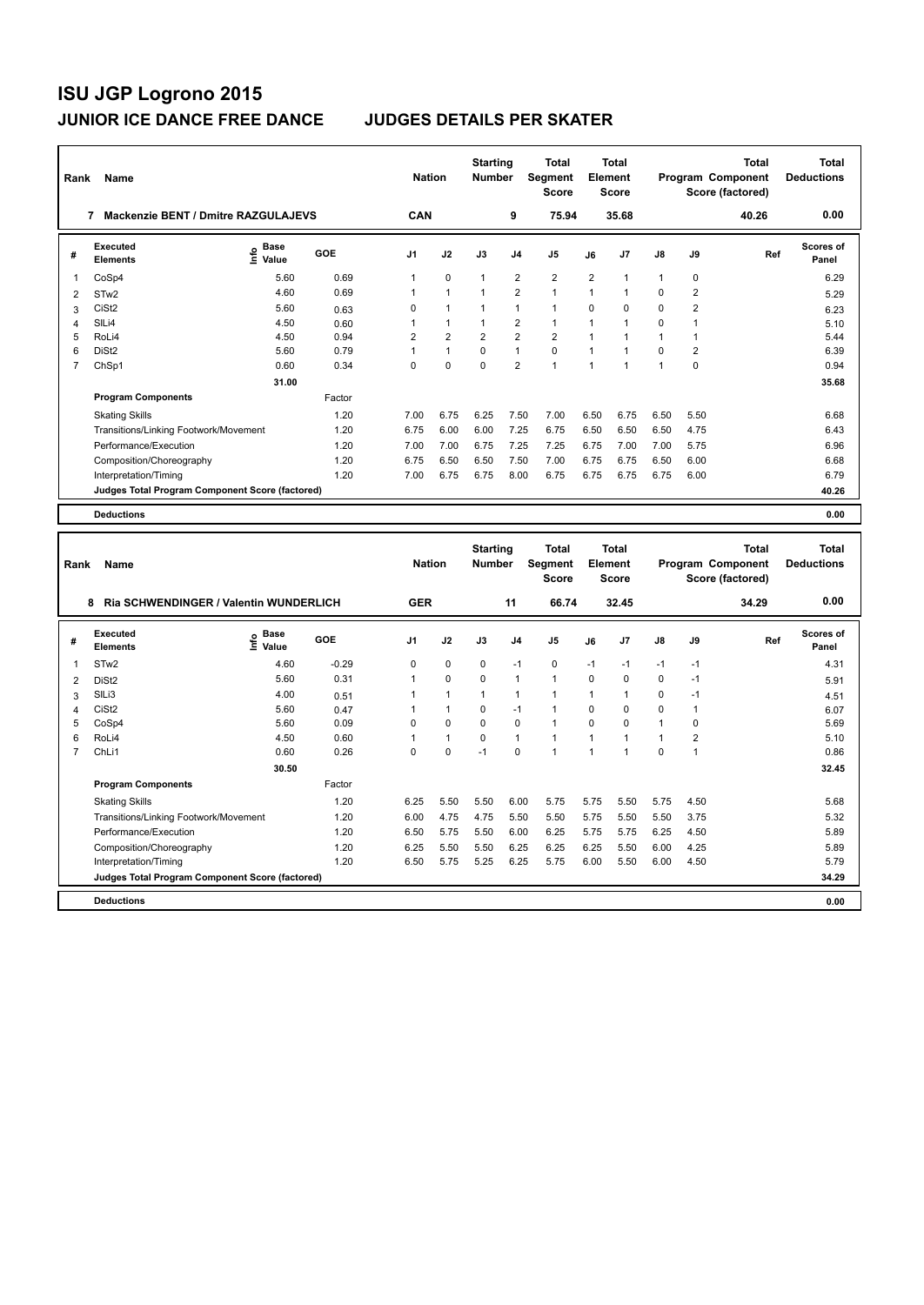| Rank           | Name                                            |                            |        | <b>Nation</b>  |                | <b>Starting</b><br><b>Number</b> |                | <b>Total</b><br>Segment<br><b>Score</b> |                | <b>Total</b><br>Element<br><b>Score</b> |               |                | <b>Total</b><br>Program Component<br>Score (factored) | <b>Total</b><br><b>Deductions</b> |
|----------------|-------------------------------------------------|----------------------------|--------|----------------|----------------|----------------------------------|----------------|-----------------------------------------|----------------|-----------------------------------------|---------------|----------------|-------------------------------------------------------|-----------------------------------|
|                | <b>Mackenzie BENT / Dmitre RAZGULAJEVS</b><br>7 |                            |        | <b>CAN</b>     |                |                                  | 9              | 75.94                                   |                | 35.68                                   |               |                | 40.26                                                 | 0.00                              |
| #              | Executed<br><b>Elements</b>                     | <b>Base</b><br>۴٥<br>Value | GOE    | J <sub>1</sub> | J2             | J3                               | J <sub>4</sub> | J <sub>5</sub>                          | J6             | J7                                      | $\mathsf{J}8$ | J9             | Ref                                                   | <b>Scores of</b><br>Panel         |
| 1              | CoSp4                                           | 5.60                       | 0.69   | 1              | $\mathbf 0$    | $\mathbf{1}$                     | $\overline{2}$ | $\overline{\mathbf{c}}$                 | $\overline{2}$ | 1                                       | $\mathbf{1}$  | 0              |                                                       | 6.29                              |
| $\overline{2}$ | STw <sub>2</sub>                                | 4.60                       | 0.69   | $\mathbf{1}$   | $\overline{1}$ | $\mathbf{1}$                     | $\overline{2}$ | $\mathbf{1}$                            | $\mathbf{1}$   | 1                                       | $\Omega$      | $\overline{2}$ |                                                       | 5.29                              |
| 3              | CiSt <sub>2</sub>                               | 5.60                       | 0.63   | 0              | $\mathbf{1}$   | $\mathbf{1}$                     | $\mathbf{1}$   | $\mathbf{1}$                            | $\Omega$       | $\Omega$                                | 0             | $\overline{2}$ |                                                       | 6.23                              |
| $\overline{4}$ | SILi4                                           | 4.50                       | 0.60   | 1              | $\mathbf{1}$   | $\mathbf{1}$                     | $\overline{2}$ | $\mathbf{1}$                            | 1              | 1                                       | $\Omega$      | 1              |                                                       | 5.10                              |
| 5              | RoLi4                                           | 4.50                       | 0.94   | $\overline{2}$ | $\overline{2}$ | $\overline{2}$                   | $\overline{2}$ | $\overline{2}$                          | 1              | 1                                       | $\mathbf{1}$  | 1              |                                                       | 5.44                              |
| 6              | DiSt <sub>2</sub>                               | 5.60                       | 0.79   | 1              | $\mathbf{1}$   | $\Omega$                         | $\mathbf{1}$   | $\Omega$                                | $\mathbf{1}$   | $\blacktriangleleft$                    | $\Omega$      | $\overline{2}$ |                                                       | 6.39                              |
| $\overline{7}$ | ChSp1                                           | 0.60                       | 0.34   | U              | $\Omega$       | $\Omega$                         | $\overline{2}$ | $\mathbf{1}$                            | $\mathbf{1}$   | 1                                       | $\mathbf{1}$  | $\Omega$       |                                                       | 0.94                              |
|                |                                                 | 31.00                      |        |                |                |                                  |                |                                         |                |                                         |               |                |                                                       | 35.68                             |
|                | <b>Program Components</b>                       |                            | Factor |                |                |                                  |                |                                         |                |                                         |               |                |                                                       |                                   |
|                | <b>Skating Skills</b>                           |                            | 1.20   | 7.00           | 6.75           | 6.25                             | 7.50           | 7.00                                    | 6.50           | 6.75                                    | 6.50          | 5.50           |                                                       | 6.68                              |
|                | Transitions/Linking Footwork/Movement           |                            | 1.20   | 6.75           | 6.00           | 6.00                             | 7.25           | 6.75                                    | 6.50           | 6.50                                    | 6.50          | 4.75           |                                                       | 6.43                              |
|                | Performance/Execution                           |                            | 1.20   | 7.00           | 7.00           | 6.75                             | 7.25           | 7.25                                    | 6.75           | 7.00                                    | 7.00          | 5.75           |                                                       | 6.96                              |
|                | Composition/Choreography                        |                            | 1.20   | 6.75           | 6.50           | 6.50                             | 7.50           | 7.00                                    | 6.75           | 6.75                                    | 6.50          | 6.00           |                                                       | 6.68                              |
|                | Interpretation/Timing                           |                            | 1.20   | 7.00           | 6.75           | 6.75                             | 8.00           | 6.75                                    | 6.75           | 6.75                                    | 6.75          | 6.00           |                                                       | 6.79                              |
|                | Judges Total Program Component Score (factored) |                            |        |                |                |                                  |                |                                         |                |                                         |               |                |                                                       | 40.26                             |
|                | <b>Deductions</b>                               |                            |        |                |                |                                  |                |                                         |                |                                         |               |                |                                                       | 0.00                              |
|                |                                                 |                            |        |                |                |                                  |                |                                         |                |                                         |               |                |                                                       |                                   |
| Rank           | Name                                            |                            |        | <b>Nation</b>  |                | <b>Starting</b><br><b>Number</b> |                | <b>Total</b><br>Segment<br><b>Score</b> |                | <b>Total</b><br>Element<br><b>Score</b> |               |                | <b>Total</b><br>Program Component<br>Score (factored) | <b>Total</b><br><b>Deductions</b> |
|                | Ria SCHWENDINGER / Valentin WUNDERLICH<br>8     |                            |        | <b>GER</b>     |                |                                  | 11             | 66.74                                   |                | 32.45                                   |               |                | 34.29                                                 | 0.00                              |
| #              | <b>Executed</b><br><b>Flements</b>              | <b>Base</b><br>ę<br>Value  | GOE    | J <sub>1</sub> | J2             | J3                               | J <sub>4</sub> | J <sub>5</sub>                          | J6             | J7                                      | J8            | J9             | Ref                                                   | <b>Scores of</b><br>Panel         |

| #  | <b>Executed</b><br><b>Elements</b>              | $\sum_{k=1}^{\infty}$ Value | <b>GOE</b> | J <sub>1</sub> | J2          | J3   | J <sub>4</sub> | J <sub>5</sub>       | J6             | J7       | $\mathsf{J}8$ | J9       | Ref | <b>Scores of</b><br>Panel |
|----|-------------------------------------------------|-----------------------------|------------|----------------|-------------|------|----------------|----------------------|----------------|----------|---------------|----------|-----|---------------------------|
|    | STw <sub>2</sub>                                | 4.60                        | $-0.29$    | 0              | $\mathbf 0$ | 0    | $-1$           | 0                    | $-1$           | $-1$     | $-1$          | $-1$     |     | 4.31                      |
| 2  | DiSt <sub>2</sub>                               | 5.60                        | 0.31       |                | $\mathbf 0$ | 0    | 1              | $\mathbf{1}$         | $\Omega$       | $\Omega$ | 0             | $-1$     |     | 5.91                      |
| 3  | SIL <sub>i3</sub>                               | 4.00                        | 0.51       |                | 1           |      |                | $\blacktriangleleft$ |                |          | 0             | $-1$     |     | 4.51                      |
| 4  | CiSt <sub>2</sub>                               | 5.60                        | 0.47       |                | 1           | 0    | $-1$           | $\mathbf{1}$         | $\Omega$       | $\Omega$ | $\mathbf 0$   |          |     | 6.07                      |
| 5. | CoSp4                                           | 5.60                        | 0.09       | $\Omega$       | $\mathbf 0$ | 0    | 0              | $\blacktriangleleft$ | $\Omega$       | $\Omega$ |               | $\Omega$ |     | 5.69                      |
| 6  | RoLi4                                           | 4.50                        | 0.60       |                | 1           | 0    |                | $\mathbf{1}$         | 1              |          |               | 2        |     | 5.10                      |
|    | ChL <sub>i1</sub>                               | 0.60                        | 0.26       | 0              | 0           | $-1$ | 0              | 1                    | $\overline{ }$ |          | $\Omega$      |          |     | 0.86                      |
|    |                                                 | 30.50                       |            |                |             |      |                |                      |                |          |               |          |     | 32.45                     |
|    | <b>Program Components</b>                       |                             | Factor     |                |             |      |                |                      |                |          |               |          |     |                           |
|    | <b>Skating Skills</b>                           |                             | 1.20       | 6.25           | 5.50        | 5.50 | 6.00           | 5.75                 | 5.75           | 5.50     | 5.75          | 4.50     |     | 5.68                      |
|    | Transitions/Linking Footwork/Movement           |                             | 1.20       | 6.00           | 4.75        | 4.75 | 5.50           | 5.50                 | 5.75           | 5.50     | 5.50          | 3.75     |     | 5.32                      |
|    | Performance/Execution                           |                             | 1.20       | 6.50           | 5.75        | 5.50 | 6.00           | 6.25                 | 5.75           | 5.75     | 6.25          | 4.50     |     | 5.89                      |
|    | Composition/Choreography                        |                             | 1.20       | 6.25           | 5.50        | 5.50 | 6.25           | 6.25                 | 6.25           | 5.50     | 6.00          | 4.25     |     | 5.89                      |
|    | Interpretation/Timing                           |                             | 1.20       | 6.50           | 5.75        | 5.25 | 6.25           | 5.75                 | 6.00           | 5.50     | 6.00          | 4.50     |     | 5.79                      |
|    | Judges Total Program Component Score (factored) |                             |            |                |             |      |                |                      |                |          |               |          |     | 34.29                     |
|    | <b>Deductions</b>                               |                             |            |                |             |      |                |                      |                |          |               |          |     | 0.00                      |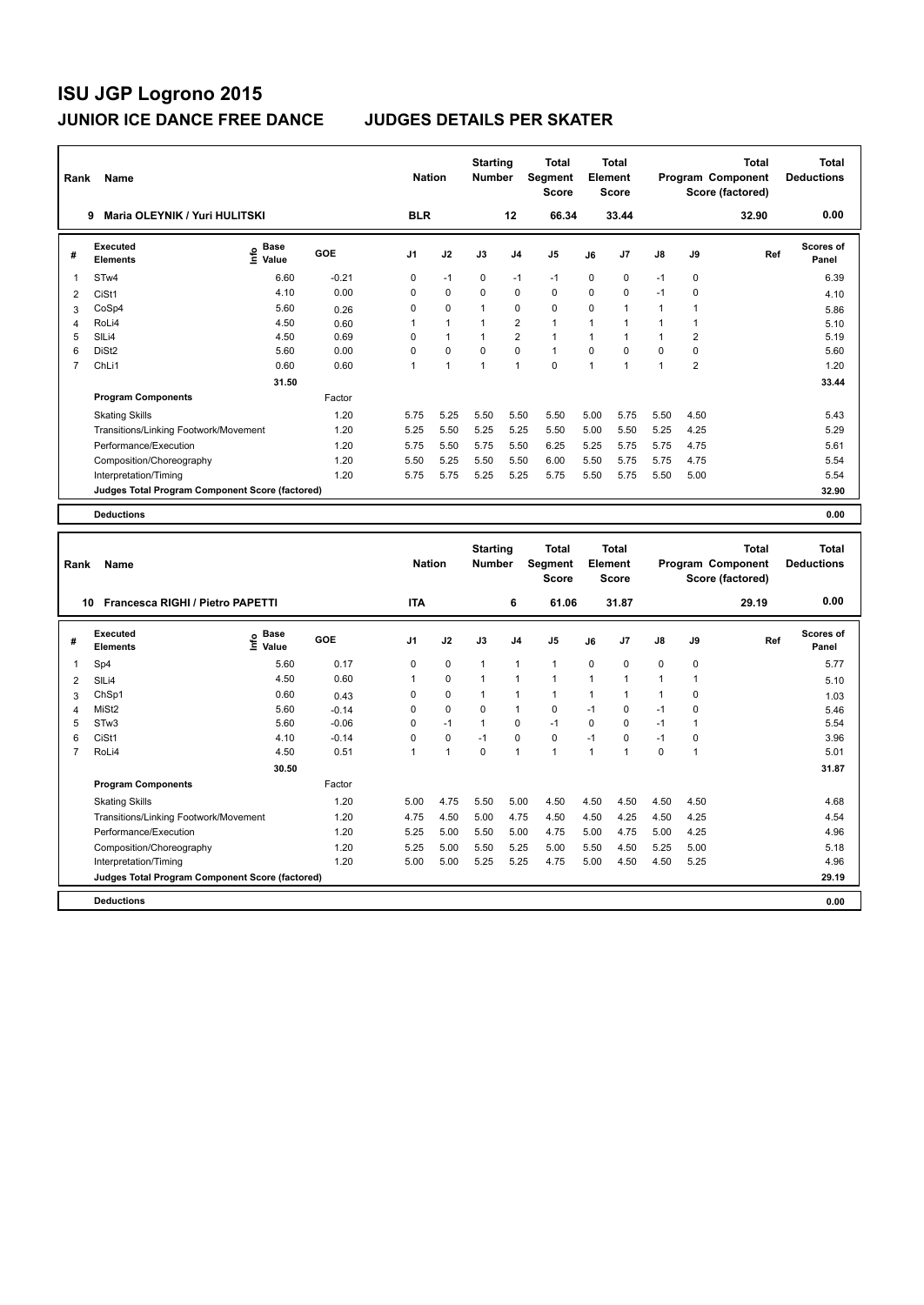**Program Components** 

| Rank           | Name                                            |                            |         | <b>Nation</b> |              | <b>Starting</b><br><b>Number</b> |                | Total<br>Segment<br><b>Score</b> |              | <b>Total</b><br><b>Element</b><br><b>Score</b> |              |                | <b>Total</b><br>Program Component<br>Score (factored) | <b>Total</b><br><b>Deductions</b> |
|----------------|-------------------------------------------------|----------------------------|---------|---------------|--------------|----------------------------------|----------------|----------------------------------|--------------|------------------------------------------------|--------------|----------------|-------------------------------------------------------|-----------------------------------|
|                | <b>Maria OLEYNIK / Yuri HULITSKI</b><br>9       |                            |         | <b>BLR</b>    |              |                                  | 12             | 66.34                            |              | 33.44                                          |              |                | 32.90                                                 | 0.00                              |
| #              | Executed<br><b>Elements</b>                     | <b>Base</b><br>۴ů<br>Value | GOE     | J1            | J2           | J3                               | J4             | J5                               | J6           | J7                                             | J8           | J9             | Ref                                                   | Scores of<br>Panel                |
| 1              | STw4                                            | 6.60                       | $-0.21$ | 0             | $-1$         | $\mathbf 0$                      | $-1$           | $-1$                             | 0            | 0                                              | $-1$         | 0              |                                                       | 6.39                              |
| $\overline{2}$ | CiSt1                                           | 4.10                       | 0.00    | 0             | 0            | 0                                | $\mathbf 0$    | $\mathbf 0$                      | 0            | 0                                              | $-1$         | 0              |                                                       | 4.10                              |
| 3              | CoSp4                                           | 5.60                       | 0.26    | 0             | 0            | $\mathbf{1}$                     | $\mathbf 0$    | $\mathbf 0$                      | 0            | $\mathbf{1}$                                   | $\mathbf{1}$ | $\mathbf{1}$   |                                                       | 5.86                              |
| $\overline{4}$ | RoLi4                                           | 4.50                       | 0.60    | 1             | $\mathbf{1}$ | 1                                | $\overline{2}$ | $\mathbf{1}$                     | $\mathbf{1}$ | 1                                              | $\mathbf{1}$ | $\mathbf{1}$   |                                                       | 5.10                              |
| 5              | SILi4                                           | 4.50                       | 0.69    | 0             | $\mathbf{1}$ | $\mathbf{1}$                     | $\overline{2}$ | $\mathbf{1}$                     | 1            | $\mathbf{1}$                                   | $\mathbf{1}$ | $\overline{2}$ |                                                       | 5.19                              |
| 6              | DiSt <sub>2</sub>                               | 5.60                       | 0.00    | 0             | $\Omega$     | $\Omega$                         | $\Omega$       | $\overline{1}$                   | $\Omega$     | $\Omega$                                       | 0            | 0              |                                                       | 5.60                              |
| $\overline{7}$ | ChL <sub>i1</sub>                               | 0.60                       | 0.60    | $\mathbf{1}$  | $\mathbf{1}$ | $\mathbf{1}$                     | $\mathbf{1}$   | $\mathbf{0}$                     | $\mathbf{1}$ | $\mathbf{1}$                                   | $\mathbf{1}$ | $\overline{2}$ |                                                       | 1.20                              |
|                |                                                 | 31.50                      |         |               |              |                                  |                |                                  |              |                                                |              |                |                                                       | 33.44                             |
|                | <b>Program Components</b>                       |                            | Factor  |               |              |                                  |                |                                  |              |                                                |              |                |                                                       |                                   |
|                | <b>Skating Skills</b>                           |                            | 1.20    | 5.75          | 5.25         | 5.50                             | 5.50           | 5.50                             | 5.00         | 5.75                                           | 5.50         | 4.50           |                                                       | 5.43                              |
|                | Transitions/Linking Footwork/Movement           |                            | 1.20    | 5.25          | 5.50         | 5.25                             | 5.25           | 5.50                             | 5.00         | 5.50                                           | 5.25         | 4.25           |                                                       | 5.29                              |
|                | Performance/Execution                           |                            | 1.20    | 5.75          | 5.50         | 5.75                             | 5.50           | 6.25                             | 5.25         | 5.75                                           | 5.75         | 4.75           |                                                       | 5.61                              |
|                | Composition/Choreography                        |                            | 1.20    | 5.50          | 5.25         | 5.50                             | 5.50           | 6.00                             | 5.50         | 5.75                                           | 5.75         | 4.75           |                                                       | 5.54                              |
|                | Interpretation/Timing                           |                            | 1.20    | 5.75          | 5.75         | 5.25                             | 5.25           | 5.75                             | 5.50         | 5.75                                           | 5.50         | 5.00           |                                                       | 5.54                              |
|                | Judges Total Program Component Score (factored) |                            |         |               |              |                                  |                |                                  |              |                                                |              |                |                                                       | 32.90                             |
|                |                                                 |                            |         |               |              |                                  |                |                                  |              |                                                |              |                |                                                       |                                   |
|                | <b>Deductions</b>                               |                            |         |               |              |                                  |                |                                  |              |                                                |              |                |                                                       | 0.00                              |
| Rank           | Name                                            |                            |         | <b>Nation</b> |              | <b>Starting</b><br>Number        |                | Total<br>Segment<br><b>Score</b> |              | Total<br>Element<br><b>Score</b>               |              |                | <b>Total</b><br>Program Component<br>Score (factored) | <b>Total</b><br><b>Deductions</b> |
|                | 10 Francesca RIGHI / Pietro PAPETTI             |                            |         | <b>ITA</b>    |              |                                  | 6              | 61.06                            |              | 31.87                                          |              |                | 29.19                                                 | 0.00                              |
| #              | <b>Executed</b><br><b>Elements</b>              | <b>Base</b><br>١π<br>Value | GOE     | J1            | J2           | J3                               | J <sub>4</sub> | J5                               | J6           | J7                                             | J8           | J9             | Ref                                                   | Scores of<br>Panel                |
| 1              | Sp4                                             | 5.60                       | 0.17    | 0             | 0            | $\mathbf{1}$                     | $\mathbf{1}$   | $\mathbf{1}$                     | $\Omega$     | $\Omega$                                       | 0            | 0              |                                                       | 5.77                              |
| $\overline{2}$ | SILi4                                           | 4.50                       | 0.60    | 1             | 0            | $\mathbf{1}$                     | $\overline{1}$ | $\mathbf{1}$                     | $\mathbf{1}$ | 1                                              | $\mathbf{1}$ | $\mathbf{1}$   |                                                       | 5.10                              |
| 3              | ChSp1                                           | 0.60                       | 0.43    | 0             | 0            | $\mathbf{1}$                     | $\overline{1}$ | $\mathbf{1}$                     | $\mathbf{1}$ | 1                                              | $\mathbf{1}$ | 0              |                                                       | 1.03                              |
| $\overline{4}$ | MiSt <sub>2</sub>                               | 5.60                       | $-0.14$ | $\Omega$      | $\Omega$     | $\mathbf 0$                      | $\overline{1}$ | $\mathbf 0$                      | $-1$         | $\Omega$                                       | $-1$         | 0              |                                                       | 5.46                              |
| 5              | STw3                                            | 5.60                       | $-0.06$ | 0             | $-1$         | $\mathbf{1}$                     | $\mathbf 0$    | $-1$                             | 0            | $\Omega$                                       | $-1$         | 1              |                                                       | 5.54                              |
| 6              | CiSt1                                           | 4.10                       | $-0.14$ | $\Omega$      | $\Omega$     | $-1$                             | $\Omega$       | $\Omega$                         | $-1$         | $\Omega$                                       | $-1$         | 0              |                                                       | 3.96                              |
| $\overline{7}$ | RoLi4                                           | 4.50                       | 0.51    | 1             | $\mathbf{1}$ | $\Omega$                         | $\overline{1}$ | $\mathbf{1}$                     | $\mathbf 1$  | $\blacktriangleleft$                           | $\Omega$     | $\mathbf{1}$   |                                                       | 5.01                              |

Skating Skills 5.00 4.75 5.50 5.00 4.50 4.50 4.50 4.50 4.50 1.20 4.68

Transitions/Linking Footwork/Movement 1.20 4.75 4.50 5.00 4.75 4.50 4.50 4.25 4.50 4.25 4.54 Performance/Execution 1.20 5.25 5.00 5.50 5.00 4.75 5.00 4.75 5.00 4.25 4.96 Composition/Choreography 1.20 5.25 5.00 5.50 5.25 5.00 5.50 4.50 5.25 5.00 5.18

**Deductions 0.00 Judges Total Program Component Score (factored) 29.19**

Factor

 **30.50 31.87**

Interpretation/Timing 1.20 5.00 5.00 5.25 5.25 4.75 5.00 4.50 4.50 5.25 4.96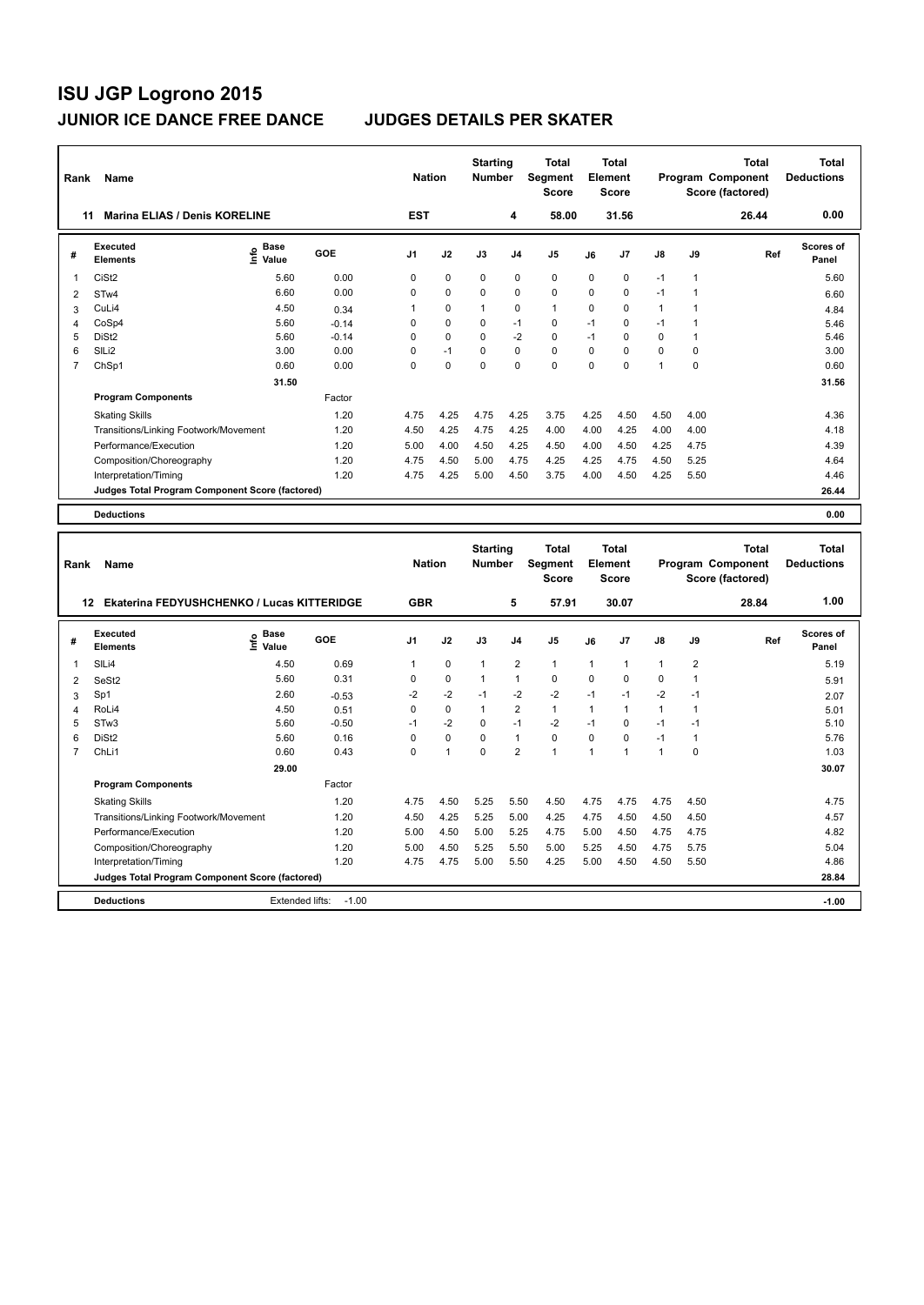**Program Components** 

| Rank           | Name                                             |                            |         | <b>Nation</b>  |                | <b>Starting</b><br><b>Number</b> |                | <b>Total</b><br>Segment<br><b>Score</b> |              | Total<br>Element<br><b>Score</b>        |              |                | <b>Total</b><br>Program Component<br>Score (factored) | <b>Total</b><br><b>Deductions</b> |
|----------------|--------------------------------------------------|----------------------------|---------|----------------|----------------|----------------------------------|----------------|-----------------------------------------|--------------|-----------------------------------------|--------------|----------------|-------------------------------------------------------|-----------------------------------|
| 11             | Marina ELIAS / Denis KORELINE                    |                            |         | <b>EST</b>     |                |                                  | 4              | 58.00                                   |              | 31.56                                   |              |                | 26.44                                                 | 0.00                              |
| #              | <b>Executed</b><br><b>Elements</b>               | <b>Base</b><br>۴ô<br>Value | GOE     | J1             | J2             | J3                               | J4             | J5                                      | J6           | J7                                      | J8           | J9             | Ref                                                   | Scores of<br>Panel                |
| 1              | CiSt <sub>2</sub>                                | 5.60                       | 0.00    | 0              | $\mathbf 0$    | $\mathbf 0$                      | $\mathbf 0$    | 0                                       | 0            | 0                                       | $-1$         | $\mathbf{1}$   |                                                       | 5.60                              |
| $\overline{2}$ | STw4                                             | 6.60                       | 0.00    | 0              | $\mathbf 0$    | $\mathbf 0$                      | $\mathbf 0$    | $\mathbf 0$                             | $\Omega$     | 0                                       | $-1$         | 1              |                                                       | 6.60                              |
| 3              | CuLi4                                            | 4.50                       | 0.34    | 1              | $\mathbf 0$    | $\mathbf{1}$                     | $\mathbf 0$    | $\mathbf{1}$                            | 0            | 0                                       | $\mathbf{1}$ | 1              |                                                       | 4.84                              |
| $\overline{4}$ | CoSp4                                            | 5.60                       | $-0.14$ | 0              | $\Omega$       | $\mathbf 0$                      | $-1$           | $\mathbf 0$                             | $-1$         | $\Omega$                                | $-1$         | $\mathbf{1}$   |                                                       | 5.46                              |
| 5              | DiSt <sub>2</sub>                                | 5.60                       | $-0.14$ | 0              | $\Omega$       | $\Omega$                         | $-2$           | $\Omega$                                | $-1$         | $\Omega$                                | 0            | $\mathbf{1}$   |                                                       | 5.46                              |
| 6              | SILi2                                            | 3.00                       | 0.00    | 0              | $-1$           | $\mathbf 0$                      | $\mathbf 0$    | 0                                       | $\Omega$     | $\Omega$                                | 0            | 0              |                                                       | 3.00                              |
| $\overline{7}$ | ChSp1                                            | 0.60                       | 0.00    | $\Omega$       | $\Omega$       | $\Omega$                         | $\Omega$       | $\mathbf 0$                             | $\Omega$     | $\mathbf 0$                             | $\mathbf{1}$ | $\mathbf{0}$   |                                                       | 0.60                              |
|                |                                                  | 31.50                      |         |                |                |                                  |                |                                         |              |                                         |              |                |                                                       | 31.56                             |
|                | <b>Program Components</b>                        |                            | Factor  |                |                |                                  |                |                                         |              |                                         |              |                |                                                       |                                   |
|                | <b>Skating Skills</b>                            |                            | 1.20    | 4.75           | 4.25           | 4.75                             | 4.25           | 3.75                                    | 4.25         | 4.50                                    | 4.50         | 4.00           |                                                       | 4.36                              |
|                | Transitions/Linking Footwork/Movement            |                            | 1.20    | 4.50           | 4.25           | 4.75                             | 4.25           | 4.00                                    | 4.00         | 4.25                                    | 4.00         | 4.00           |                                                       | 4.18                              |
|                | Performance/Execution                            |                            | 1.20    | 5.00           | 4.00           | 4.50                             | 4.25           | 4.50                                    | 4.00         | 4.50                                    | 4.25         | 4.75           |                                                       | 4.39                              |
|                | Composition/Choreography                         |                            | 1.20    | 4.75           | 4.50           | 5.00                             | 4.75           | 4.25                                    | 4.25         | 4.75                                    | 4.50         | 5.25           |                                                       | 4.64                              |
|                | Interpretation/Timing                            |                            | 1.20    | 4.75           | 4.25           | 5.00                             | 4.50           | 3.75                                    | 4.00         | 4.50                                    | 4.25         | 5.50           |                                                       | 4.46                              |
|                | Judges Total Program Component Score (factored)  |                            |         |                |                |                                  |                |                                         |              |                                         |              |                |                                                       | 26.44                             |
|                | <b>Deductions</b>                                |                            |         |                |                |                                  |                |                                         |              |                                         |              |                |                                                       | 0.00                              |
|                |                                                  |                            |         |                |                |                                  |                |                                         |              |                                         |              |                |                                                       |                                   |
| Rank           | Name                                             |                            |         | <b>Nation</b>  |                | <b>Starting</b><br><b>Number</b> |                | <b>Total</b><br>Segment<br><b>Score</b> |              | <b>Total</b><br>Element<br><b>Score</b> |              |                | <b>Total</b><br>Program Component<br>Score (factored) | <b>Total</b><br><b>Deductions</b> |
|                | Ekaterina FEDYUSHCHENKO / Lucas KITTERIDGE<br>12 |                            |         | <b>GBR</b>     |                |                                  | 5              | 57.91                                   |              | 30.07                                   |              |                | 28.84                                                 | 1.00                              |
| #              | <b>Executed</b><br><b>Elements</b>               | <b>Base</b><br>١m<br>Value | GOE     | J <sub>1</sub> | J2             | J3                               | J4             | J <sub>5</sub>                          | J6           | J7                                      | J8           | J9             | Ref                                                   | <b>Scores of</b><br>Panel         |
| 1              | SILi4                                            | 4.50                       | 0.69    | $\mathbf{1}$   | 0              | $\mathbf{1}$                     | $\overline{2}$ | $\mathbf{1}$                            | 1            | 1                                       | $\mathbf{1}$ | $\overline{2}$ |                                                       | 5.19                              |
| $\overline{2}$ | SeSt2                                            | 5.60                       | 0.31    | 0              | $\mathbf 0$    | $\mathbf{1}$                     | $\mathbf{1}$   | 0                                       | 0            | 0                                       | 0            | $\mathbf{1}$   |                                                       | 5.91                              |
| 3              | Sp1                                              | 2.60                       | $-0.53$ | $-2$           | $-2$           | $-1$                             | $-2$           | $-2$                                    | $-1$         | $-1$                                    | $-2$         | $-1$           |                                                       | 2.07                              |
| 4              | RoLi4                                            | 4.50                       | 0.51    | 0              | $\mathbf 0$    | $\mathbf{1}$                     | $\overline{2}$ | $\mathbf{1}$                            | $\mathbf{1}$ | $\mathbf{1}$                            | $\mathbf{1}$ | $\mathbf{1}$   |                                                       | 5.01                              |
| 5              | STw <sub>3</sub>                                 | 5.60                       | $-0.50$ | $-1$           | $-2$           | $\mathbf 0$                      | $-1$           | $-2$                                    | $-1$         | 0                                       | $-1$         | $-1$           |                                                       | 5.10                              |
| 6              | DiSt <sub>2</sub>                                | 5.60                       | 0.16    | 0              | $\Omega$       | $\Omega$                         | $\mathbf{1}$   | $\Omega$                                | $\Omega$     | 0                                       | $-1$         | 1              |                                                       | 5.76                              |
| $\overline{7}$ | ChLi1                                            | 0.60                       | 0.43    | $\Omega$       | $\overline{1}$ | $\Omega$                         | $\overline{2}$ | $\mathbf{1}$                            | $\mathbf 1$  | $\mathbf{1}$                            | $\mathbf{1}$ | $\Omega$       |                                                       | 1.03                              |

Skating Skills 1.20 4.75 4.50 5.25 5.50 4.50 4.75 4.75 4.75 4.50 4.75

Transitions/Linking Footwork/Movement 1.20 4.50 4.25 5.25 5.00 4.25 4.75 4.50 4.50 4.50 4.57 Performance/Execution 1.20 5.00 4.50 5.00 5.25 4.75 5.00 4.50 4.75 4.75 4.82 Composition/Choreography 1.20 5.00 4.50 5.25 5.50 5.00 5.25 4.50 4.75 5.75 5.04

**Deductions -1.00** -1.00 **-1.00** -1.00 **Judges Total Program Component Score (factored) 28.84**

Factor

 **29.00 30.07**

4.75 4.75 5.00 5.50 4.25 5.00 4.50 4.50 5.50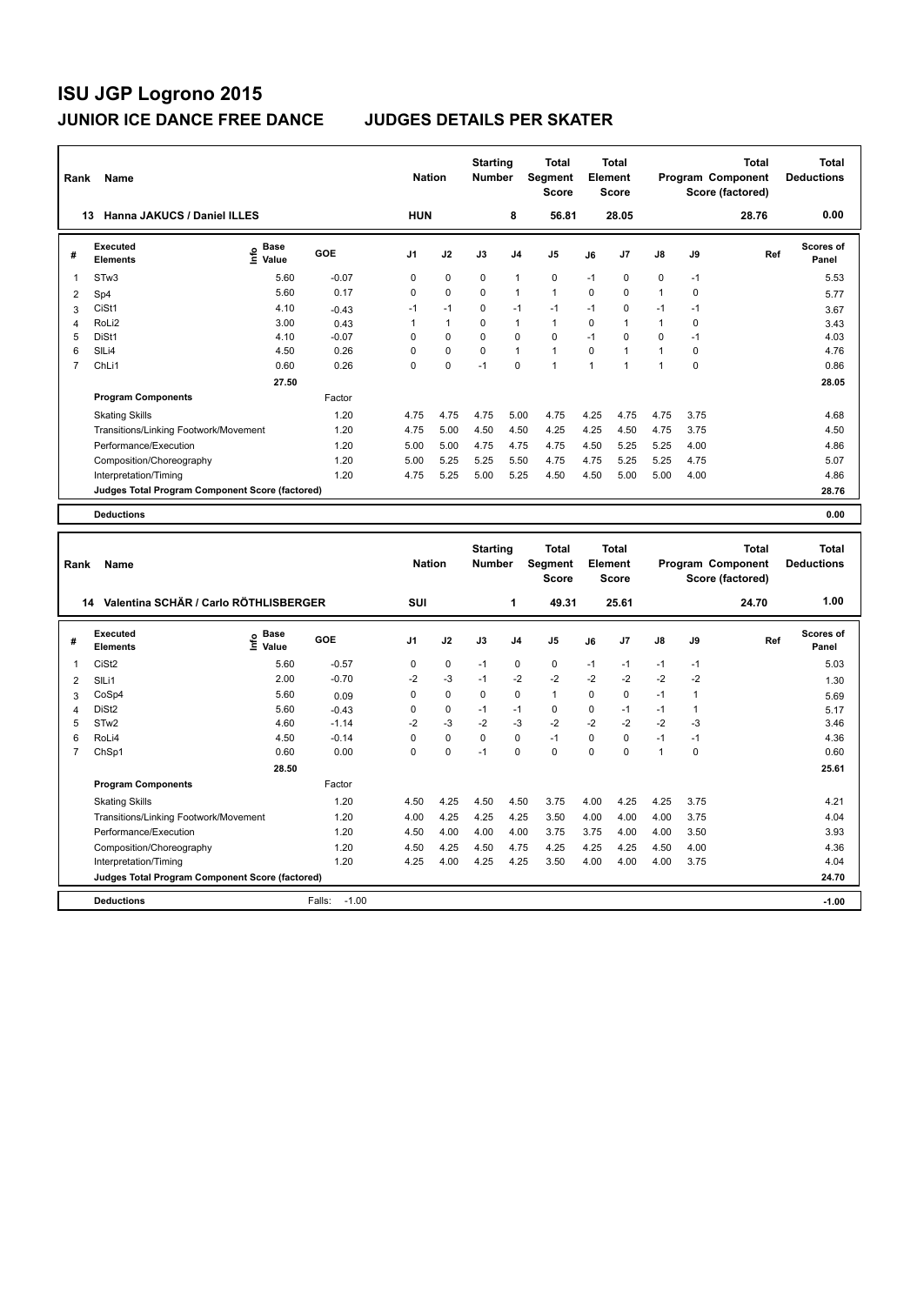| Rank           | Name                                                           |                                                                     |              | <b>Nation</b>  |              | <b>Starting</b><br><b>Number</b> |                | <b>Total</b><br>Segment<br><b>Score</b> |              | <b>Total</b><br>Element<br><b>Score</b> |              |              | <b>Total</b><br>Program Component<br>Score (factored) | <b>Total</b><br><b>Deductions</b> |
|----------------|----------------------------------------------------------------|---------------------------------------------------------------------|--------------|----------------|--------------|----------------------------------|----------------|-----------------------------------------|--------------|-----------------------------------------|--------------|--------------|-------------------------------------------------------|-----------------------------------|
|                | 13 Hanna JAKUCS / Daniel ILLES                                 |                                                                     |              | <b>HUN</b>     |              |                                  | 8              | 56.81                                   |              | 28.05                                   |              |              | 28.76                                                 | 0.00                              |
| #              | Executed<br><b>Elements</b>                                    | Base<br>$\frac{6}{5}$ Base<br>$\frac{1}{5}$ Value                   | GOE          | J <sub>1</sub> | J2           | J3                               | J4             | J5                                      | J6           | J7                                      | J8           | J9           | Ref                                                   | <b>Scores of</b><br>Panel         |
| 1              | STw3                                                           | 5.60                                                                | $-0.07$      | 0              | 0            | 0                                | $\mathbf{1}$   | 0                                       | $-1$         | 0                                       | 0            | $-1$         |                                                       | 5.53                              |
| $\overline{2}$ | Sp4                                                            | 5.60                                                                | 0.17         | 0              | 0            | 0                                | $\overline{1}$ | $\mathbf{1}$                            | 0            | 0                                       | $\mathbf{1}$ | 0            |                                                       | 5.77                              |
| 3              | CiSt1                                                          | 4.10                                                                | $-0.43$      | $-1$           | $-1$         | 0                                | $-1$           | $-1$                                    | $-1$         | 0                                       | $-1$         | $-1$         |                                                       | 3.67                              |
| $\overline{4}$ | RoLi2                                                          | 3.00                                                                | 0.43         | 1              | $\mathbf{1}$ | 0                                | $\overline{1}$ | $\mathbf{1}$                            | 0            | 1                                       | $\mathbf{1}$ | 0            |                                                       | 3.43                              |
| 5              | DiSt1                                                          | 4.10                                                                | $-0.07$      | 0              | $\mathbf 0$  | 0                                | $\mathbf 0$    | $\mathbf 0$                             | $-1$         | $\Omega$                                | 0            | $-1$         |                                                       | 4.03                              |
| 6              | SILi4                                                          | 4.50                                                                | 0.26         | 0              | $\mathbf 0$  | 0                                | $\overline{1}$ | $\mathbf{1}$                            | $\mathbf 0$  | 1                                       | $\mathbf{1}$ | 0            |                                                       | 4.76                              |
| $\overline{7}$ | ChL <sub>i1</sub>                                              | 0.60                                                                | 0.26         | 0              | $\Omega$     | $-1$                             | $\Omega$       | $\overline{1}$                          | $\mathbf{1}$ | 1                                       | $\mathbf{1}$ | $\mathbf 0$  |                                                       | 0.86                              |
|                |                                                                | 27.50                                                               |              |                |              |                                  |                |                                         |              |                                         |              |              |                                                       | 28.05                             |
|                | <b>Program Components</b>                                      |                                                                     | Factor       |                |              |                                  |                |                                         |              |                                         |              |              |                                                       |                                   |
|                | <b>Skating Skills</b>                                          |                                                                     | 1.20         | 4.75           | 4.75         | 4.75                             | 5.00           | 4.75                                    | 4.25         | 4.75                                    | 4.75         | 3.75         |                                                       | 4.68                              |
|                | Transitions/Linking Footwork/Movement                          |                                                                     | 1.20         | 4.75           | 5.00         | 4.50                             | 4.50           | 4.25                                    | 4.25         | 4.50                                    | 4.75         | 3.75         |                                                       | 4.50                              |
|                | Performance/Execution                                          |                                                                     | 1.20         | 5.00           | 5.00         | 4.75                             | 4.75           | 4.75                                    | 4.50         | 5.25                                    | 5.25         | 4.00         |                                                       | 4.86                              |
|                | Composition/Choreography                                       |                                                                     | 1.20         | 5.00           | 5.25         | 5.25                             | 5.50           | 4.75                                    | 4.75         | 5.25                                    | 5.25         | 4.75         |                                                       | 5.07                              |
|                | Interpretation/Timing                                          |                                                                     | 1.20         | 4.75           | 5.25         | 5.00                             | 5.25           | 4.50                                    | 4.50         | 5.00                                    | 5.00         | 4.00         |                                                       | 4.86                              |
|                | Judges Total Program Component Score (factored)                |                                                                     |              |                |              |                                  |                |                                         |              |                                         |              |              |                                                       | 28.76                             |
|                |                                                                |                                                                     |              |                |              |                                  |                |                                         |              |                                         |              |              |                                                       |                                   |
|                | <b>Deductions</b>                                              |                                                                     |              |                |              |                                  |                |                                         |              |                                         |              |              |                                                       | 0.00                              |
| Rank           | Name                                                           |                                                                     |              | <b>Nation</b>  |              | <b>Starting</b><br><b>Number</b> |                | <b>Total</b><br>Segment                 |              | <b>Total</b><br>Element                 |              |              | <b>Total</b><br>Program Component                     | <b>Total</b><br><b>Deductions</b> |
|                |                                                                |                                                                     |              |                |              |                                  |                | <b>Score</b>                            |              | <b>Score</b>                            |              |              | Score (factored)                                      |                                   |
|                | 14 Valentina SCHÄR / Carlo RÖTHLISBERGER                       |                                                                     |              | SUI            |              |                                  | 1              | 49.31                                   |              | 25.61                                   |              |              | 24.70                                                 | 1.00                              |
|                | <b>Executed</b>                                                |                                                                     |              |                |              |                                  |                |                                         |              |                                         |              |              |                                                       | Scores of                         |
| #              | <b>Elements</b>                                                | $\begin{array}{c}\n\vdots \\ \downarrow \\ \downarrow\n\end{array}$ | GOE          | J1             | J2           | J3                               | J <sub>4</sub> | J5                                      | J6           | J7                                      | J8           | J9           | Ref                                                   | Panel                             |
| 1              | CiSt <sub>2</sub>                                              | 5.60                                                                | $-0.57$      | 0              | $\mathbf 0$  | $-1$                             | $\mathbf 0$    | $\mathbf 0$                             | $-1$         | $-1$                                    | $-1$         | $-1$         |                                                       | 5.03                              |
| $\overline{2}$ | SILi1                                                          | 2.00                                                                | $-0.70$      | $-2$           | $-3$         | $-1$                             | $-2$           | $-2$                                    | $-2$         | $-2$                                    | $-2$         | $-2$         |                                                       | 1.30                              |
| 3              | CoSp4                                                          | 5.60                                                                | 0.09         | 0              | 0            | 0                                | 0              | $\mathbf{1}$                            | $\mathbf 0$  | 0                                       | $-1$         | $\mathbf{1}$ |                                                       | 5.69                              |
| $\overline{4}$ | DiSt <sub>2</sub>                                              | 5.60                                                                | $-0.43$      | 0              | $\mathbf 0$  | $-1$                             | $-1$           | $\mathbf 0$                             | 0            | $-1$                                    | $-1$         | 1            |                                                       | 5.17                              |
| 5              | ST <sub>w</sub> 2                                              | 4.60                                                                | $-1.14$      | $-2$           | $-3$         | $-2$                             | $-3$           | $-2$                                    | $-2$         | $-2$                                    | $-2$         | $-3$         |                                                       | 3.46                              |
| 6              | RoLi4                                                          | 4.50                                                                | $-0.14$      | 0              | 0            | 0                                | $\mathbf 0$    | $-1$                                    | 0            | 0                                       | $-1$         | $-1$         |                                                       | 4.36                              |
| $\overline{7}$ | ChSp1                                                          | 0.60                                                                | 0.00         | $\Omega$       | $\Omega$     | $-1$                             | $\Omega$       | $\Omega$                                | $\Omega$     | $\Omega$                                | $\mathbf{1}$ | 0            |                                                       | 0.60                              |
|                |                                                                | 28.50                                                               |              |                |              |                                  |                |                                         |              |                                         |              |              |                                                       | 25.61                             |
|                | <b>Program Components</b>                                      |                                                                     | Factor       |                |              |                                  |                |                                         |              |                                         |              |              |                                                       |                                   |
|                |                                                                |                                                                     |              |                |              |                                  |                |                                         |              |                                         |              |              |                                                       |                                   |
|                |                                                                |                                                                     |              |                |              |                                  |                |                                         |              |                                         |              |              |                                                       |                                   |
|                | <b>Skating Skills</b>                                          |                                                                     | 1.20         | 4.50           | 4.25         | 4.50                             | 4.50           | 3.75                                    | 4.00         | 4.25                                    | 4.25         | 3.75         |                                                       | 4.21                              |
|                | Transitions/Linking Footwork/Movement<br>Performance/Execution |                                                                     | 1.20<br>1.20 | 4.00<br>4.50   | 4.25<br>4.00 | 4.25<br>4.00                     | 4.25<br>4.00   | 3.50<br>3.75                            | 4.00<br>3.75 | 4.00<br>4.00                            | 4.00<br>4.00 | 3.75<br>3.50 |                                                       | 4.04<br>3.93                      |

Composition/Choreography 1.20 4.50 4.25 4.50 4.75 4.25 4.25 4.25 4.50 4.00 4.36<br>
Interpretation/Timing 1.20 4.25 4.00 4.25 4.25 3.50 4.00 4.00 3.75 4.04 4.04 Interpretation/Timing 1.20 4.25 4.00 4.25 4.25 3.50 4.00 4.00 4.00 3.75 4.04 **Judges Total Program Component Score (factored) 24.70**

**Deductions** Falls: -1.00 **-1.00**